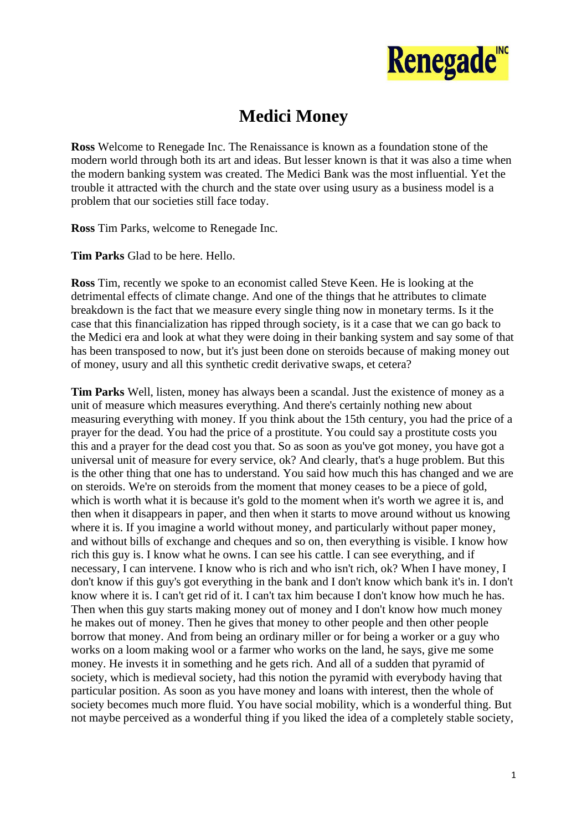

## **Medici Money**

**Ross** Welcome to Renegade Inc. The Renaissance is known as a foundation stone of the modern world through both its art and ideas. But lesser known is that it was also a time when the modern banking system was created. The Medici Bank was the most influential. Yet the trouble it attracted with the church and the state over using usury as a business model is a problem that our societies still face today.

**Ross** Tim Parks, welcome to Renegade Inc.

**Tim Parks** Glad to be here. Hello.

**Ross** Tim, recently we spoke to an economist called Steve Keen. He is looking at the detrimental effects of climate change. And one of the things that he attributes to climate breakdown is the fact that we measure every single thing now in monetary terms. Is it the case that this financialization has ripped through society, is it a case that we can go back to the Medici era and look at what they were doing in their banking system and say some of that has been transposed to now, but it's just been done on steroids because of making money out of money, usury and all this synthetic credit derivative swaps, et cetera?

**Tim Parks** Well, listen, money has always been a scandal. Just the existence of money as a unit of measure which measures everything. And there's certainly nothing new about measuring everything with money. If you think about the 15th century, you had the price of a prayer for the dead. You had the price of a prostitute. You could say a prostitute costs you this and a prayer for the dead cost you that. So as soon as you've got money, you have got a universal unit of measure for every service, ok? And clearly, that's a huge problem. But this is the other thing that one has to understand. You said how much this has changed and we are on steroids. We're on steroids from the moment that money ceases to be a piece of gold, which is worth what it is because it's gold to the moment when it's worth we agree it is, and then when it disappears in paper, and then when it starts to move around without us knowing where it is. If you imagine a world without money, and particularly without paper money, and without bills of exchange and cheques and so on, then everything is visible. I know how rich this guy is. I know what he owns. I can see his cattle. I can see everything, and if necessary, I can intervene. I know who is rich and who isn't rich, ok? When I have money, I don't know if this guy's got everything in the bank and I don't know which bank it's in. I don't know where it is. I can't get rid of it. I can't tax him because I don't know how much he has. Then when this guy starts making money out of money and I don't know how much money he makes out of money. Then he gives that money to other people and then other people borrow that money. And from being an ordinary miller or for being a worker or a guy who works on a loom making wool or a farmer who works on the land, he says, give me some money. He invests it in something and he gets rich. And all of a sudden that pyramid of society, which is medieval society, had this notion the pyramid with everybody having that particular position. As soon as you have money and loans with interest, then the whole of society becomes much more fluid. You have social mobility, which is a wonderful thing. But not maybe perceived as a wonderful thing if you liked the idea of a completely stable society,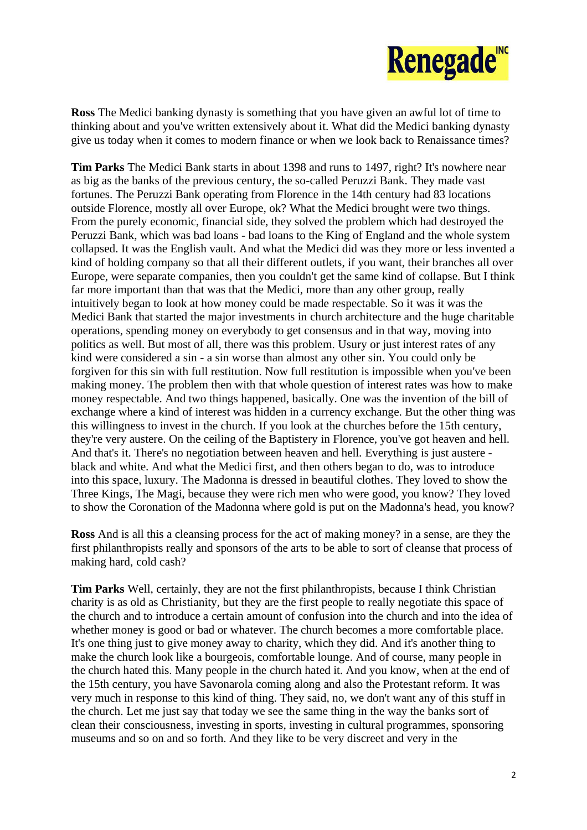

**Ross** The Medici banking dynasty is something that you have given an awful lot of time to thinking about and you've written extensively about it. What did the Medici banking dynasty give us today when it comes to modern finance or when we look back to Renaissance times?

**Tim Parks** The Medici Bank starts in about 1398 and runs to 1497, right? It's nowhere near as big as the banks of the previous century, the so-called Peruzzi Bank. They made vast fortunes. The Peruzzi Bank operating from Florence in the 14th century had 83 locations outside Florence, mostly all over Europe, ok? What the Medici brought were two things. From the purely economic, financial side, they solved the problem which had destroyed the Peruzzi Bank, which was bad loans - bad loans to the King of England and the whole system collapsed. It was the English vault. And what the Medici did was they more or less invented a kind of holding company so that all their different outlets, if you want, their branches all over Europe, were separate companies, then you couldn't get the same kind of collapse. But I think far more important than that was that the Medici, more than any other group, really intuitively began to look at how money could be made respectable. So it was it was the Medici Bank that started the major investments in church architecture and the huge charitable operations, spending money on everybody to get consensus and in that way, moving into politics as well. But most of all, there was this problem. Usury or just interest rates of any kind were considered a sin - a sin worse than almost any other sin. You could only be forgiven for this sin with full restitution. Now full restitution is impossible when you've been making money. The problem then with that whole question of interest rates was how to make money respectable. And two things happened, basically. One was the invention of the bill of exchange where a kind of interest was hidden in a currency exchange. But the other thing was this willingness to invest in the church. If you look at the churches before the 15th century, they're very austere. On the ceiling of the Baptistery in Florence, you've got heaven and hell. And that's it. There's no negotiation between heaven and hell. Everything is just austere black and white. And what the Medici first, and then others began to do, was to introduce into this space, luxury. The Madonna is dressed in beautiful clothes. They loved to show the Three Kings, The Magi, because they were rich men who were good, you know? They loved to show the Coronation of the Madonna where gold is put on the Madonna's head, you know?

**Ross** And is all this a cleansing process for the act of making money? in a sense, are they the first philanthropists really and sponsors of the arts to be able to sort of cleanse that process of making hard, cold cash?

**Tim Parks** Well, certainly, they are not the first philanthropists, because I think Christian charity is as old as Christianity, but they are the first people to really negotiate this space of the church and to introduce a certain amount of confusion into the church and into the idea of whether money is good or bad or whatever. The church becomes a more comfortable place. It's one thing just to give money away to charity, which they did. And it's another thing to make the church look like a bourgeois, comfortable lounge. And of course, many people in the church hated this. Many people in the church hated it. And you know, when at the end of the 15th century, you have Savonarola coming along and also the Protestant reform. It was very much in response to this kind of thing. They said, no, we don't want any of this stuff in the church. Let me just say that today we see the same thing in the way the banks sort of clean their consciousness, investing in sports, investing in cultural programmes, sponsoring museums and so on and so forth. And they like to be very discreet and very in the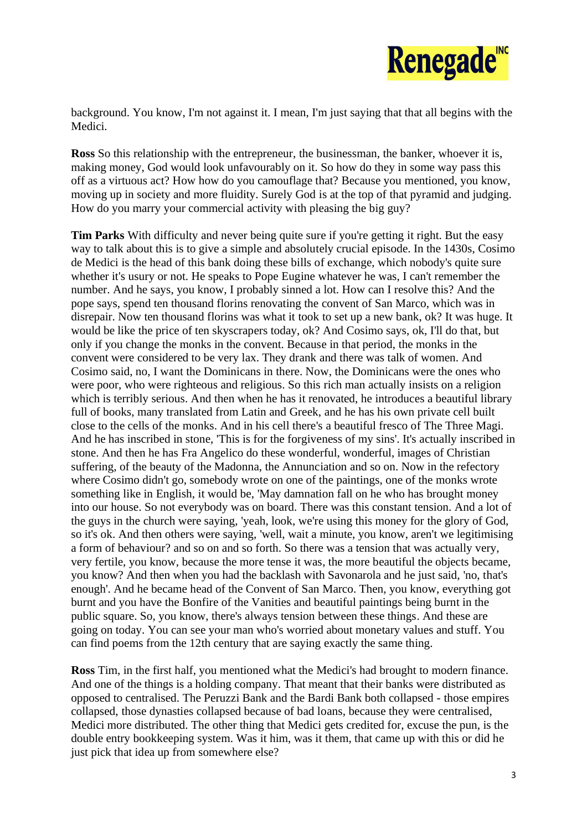

background. You know, I'm not against it. I mean, I'm just saying that that all begins with the Medici.

**Ross** So this relationship with the entrepreneur, the businessman, the banker, whoever it is, making money, God would look unfavourably on it. So how do they in some way pass this off as a virtuous act? How how do you camouflage that? Because you mentioned, you know, moving up in society and more fluidity. Surely God is at the top of that pyramid and judging. How do you marry your commercial activity with pleasing the big guy?

**Tim Parks** With difficulty and never being quite sure if you're getting it right. But the easy way to talk about this is to give a simple and absolutely crucial episode. In the 1430s, Cosimo de Medici is the head of this bank doing these bills of exchange, which nobody's quite sure whether it's usury or not. He speaks to Pope Eugine whatever he was, I can't remember the number. And he says, you know, I probably sinned a lot. How can I resolve this? And the pope says, spend ten thousand florins renovating the convent of San Marco, which was in disrepair. Now ten thousand florins was what it took to set up a new bank, ok? It was huge. It would be like the price of ten skyscrapers today, ok? And Cosimo says, ok, I'll do that, but only if you change the monks in the convent. Because in that period, the monks in the convent were considered to be very lax. They drank and there was talk of women. And Cosimo said, no, I want the Dominicans in there. Now, the Dominicans were the ones who were poor, who were righteous and religious. So this rich man actually insists on a religion which is terribly serious. And then when he has it renovated, he introduces a beautiful library full of books, many translated from Latin and Greek, and he has his own private cell built close to the cells of the monks. And in his cell there's a beautiful fresco of The Three Magi. And he has inscribed in stone, 'This is for the forgiveness of my sins'. It's actually inscribed in stone. And then he has Fra Angelico do these wonderful, wonderful, images of Christian suffering, of the beauty of the Madonna, the Annunciation and so on. Now in the refectory where Cosimo didn't go, somebody wrote on one of the paintings, one of the monks wrote something like in English, it would be, 'May damnation fall on he who has brought money into our house. So not everybody was on board. There was this constant tension. And a lot of the guys in the church were saying, 'yeah, look, we're using this money for the glory of God, so it's ok. And then others were saying, 'well, wait a minute, you know, aren't we legitimising a form of behaviour? and so on and so forth. So there was a tension that was actually very, very fertile, you know, because the more tense it was, the more beautiful the objects became, you know? And then when you had the backlash with Savonarola and he just said, 'no, that's enough'. And he became head of the Convent of San Marco. Then, you know, everything got burnt and you have the Bonfire of the Vanities and beautiful paintings being burnt in the public square. So, you know, there's always tension between these things. And these are going on today. You can see your man who's worried about monetary values and stuff. You can find poems from the 12th century that are saying exactly the same thing.

**Ross** Tim, in the first half, you mentioned what the Medici's had brought to modern finance. And one of the things is a holding company. That meant that their banks were distributed as opposed to centralised. The Peruzzi Bank and the Bardi Bank both collapsed - those empires collapsed, those dynasties collapsed because of bad loans, because they were centralised, Medici more distributed. The other thing that Medici gets credited for, excuse the pun, is the double entry bookkeeping system. Was it him, was it them, that came up with this or did he just pick that idea up from somewhere else?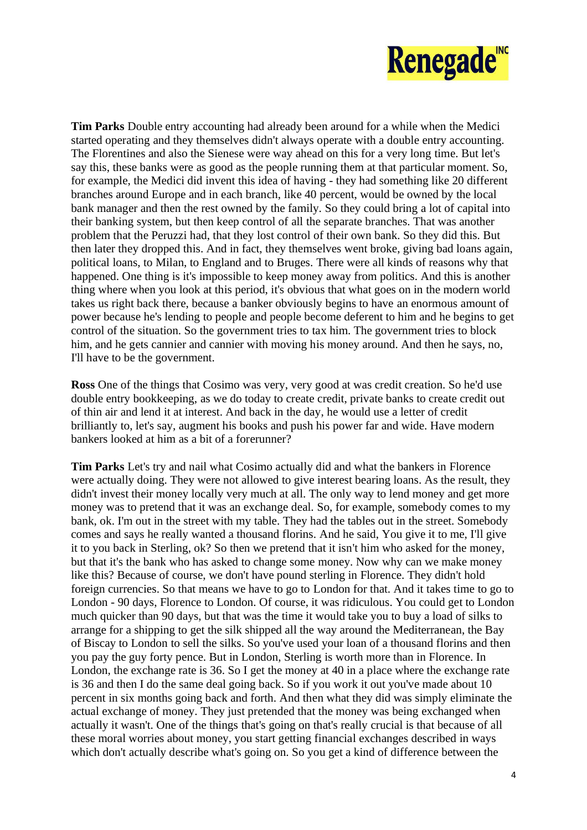

**Tim Parks** Double entry accounting had already been around for a while when the Medici started operating and they themselves didn't always operate with a double entry accounting. The Florentines and also the Sienese were way ahead on this for a very long time. But let's say this, these banks were as good as the people running them at that particular moment. So, for example, the Medici did invent this idea of having - they had something like 20 different branches around Europe and in each branch, like 40 percent, would be owned by the local bank manager and then the rest owned by the family. So they could bring a lot of capital into their banking system, but then keep control of all the separate branches. That was another problem that the Peruzzi had, that they lost control of their own bank. So they did this. But then later they dropped this. And in fact, they themselves went broke, giving bad loans again, political loans, to Milan, to England and to Bruges. There were all kinds of reasons why that happened. One thing is it's impossible to keep money away from politics. And this is another thing where when you look at this period, it's obvious that what goes on in the modern world takes us right back there, because a banker obviously begins to have an enormous amount of power because he's lending to people and people become deferent to him and he begins to get control of the situation. So the government tries to tax him. The government tries to block him, and he gets cannier and cannier with moving his money around. And then he says, no, I'll have to be the government.

**Ross** One of the things that Cosimo was very, very good at was credit creation. So he'd use double entry bookkeeping, as we do today to create credit, private banks to create credit out of thin air and lend it at interest. And back in the day, he would use a letter of credit brilliantly to, let's say, augment his books and push his power far and wide. Have modern bankers looked at him as a bit of a forerunner?

**Tim Parks** Let's try and nail what Cosimo actually did and what the bankers in Florence were actually doing. They were not allowed to give interest bearing loans. As the result, they didn't invest their money locally very much at all. The only way to lend money and get more money was to pretend that it was an exchange deal. So, for example, somebody comes to my bank, ok. I'm out in the street with my table. They had the tables out in the street. Somebody comes and says he really wanted a thousand florins. And he said, You give it to me, I'll give it to you back in Sterling, ok? So then we pretend that it isn't him who asked for the money, but that it's the bank who has asked to change some money. Now why can we make money like this? Because of course, we don't have pound sterling in Florence. They didn't hold foreign currencies. So that means we have to go to London for that. And it takes time to go to London - 90 days, Florence to London. Of course, it was ridiculous. You could get to London much quicker than 90 days, but that was the time it would take you to buy a load of silks to arrange for a shipping to get the silk shipped all the way around the Mediterranean, the Bay of Biscay to London to sell the silks. So you've used your loan of a thousand florins and then you pay the guy forty pence. But in London, Sterling is worth more than in Florence. In London, the exchange rate is 36. So I get the money at 40 in a place where the exchange rate is 36 and then I do the same deal going back. So if you work it out you've made about 10 percent in six months going back and forth. And then what they did was simply eliminate the actual exchange of money. They just pretended that the money was being exchanged when actually it wasn't. One of the things that's going on that's really crucial is that because of all these moral worries about money, you start getting financial exchanges described in ways which don't actually describe what's going on. So you get a kind of difference between the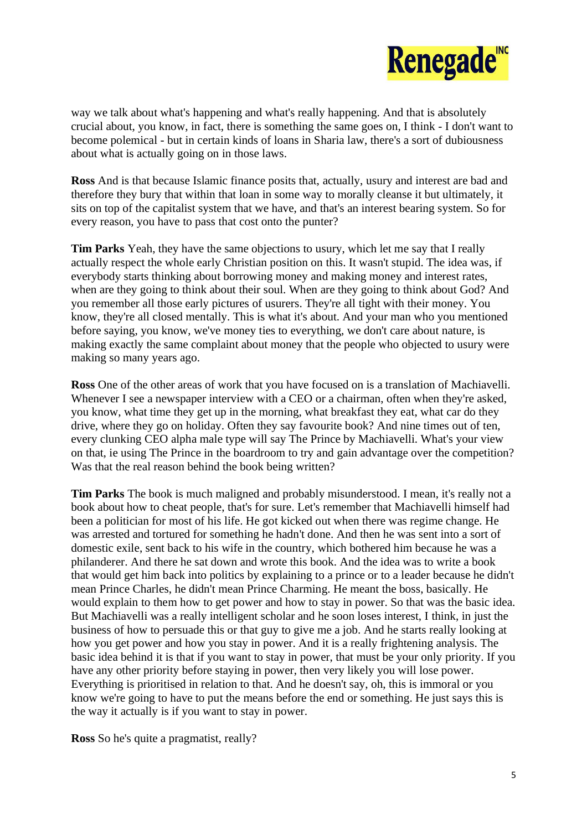

way we talk about what's happening and what's really happening. And that is absolutely crucial about, you know, in fact, there is something the same goes on, I think - I don't want to become polemical - but in certain kinds of loans in Sharia law, there's a sort of dubiousness about what is actually going on in those laws.

**Ross** And is that because Islamic finance posits that, actually, usury and interest are bad and therefore they bury that within that loan in some way to morally cleanse it but ultimately, it sits on top of the capitalist system that we have, and that's an interest bearing system. So for every reason, you have to pass that cost onto the punter?

**Tim Parks** Yeah, they have the same objections to usury, which let me say that I really actually respect the whole early Christian position on this. It wasn't stupid. The idea was, if everybody starts thinking about borrowing money and making money and interest rates, when are they going to think about their soul. When are they going to think about God? And you remember all those early pictures of usurers. They're all tight with their money. You know, they're all closed mentally. This is what it's about. And your man who you mentioned before saying, you know, we've money ties to everything, we don't care about nature, is making exactly the same complaint about money that the people who objected to usury were making so many years ago.

**Ross** One of the other areas of work that you have focused on is a translation of Machiavelli. Whenever I see a newspaper interview with a CEO or a chairman, often when they're asked, you know, what time they get up in the morning, what breakfast they eat, what car do they drive, where they go on holiday. Often they say favourite book? And nine times out of ten, every clunking CEO alpha male type will say The Prince by Machiavelli. What's your view on that, ie using The Prince in the boardroom to try and gain advantage over the competition? Was that the real reason behind the book being written?

**Tim Parks** The book is much maligned and probably misunderstood. I mean, it's really not a book about how to cheat people, that's for sure. Let's remember that Machiavelli himself had been a politician for most of his life. He got kicked out when there was regime change. He was arrested and tortured for something he hadn't done. And then he was sent into a sort of domestic exile, sent back to his wife in the country, which bothered him because he was a philanderer. And there he sat down and wrote this book. And the idea was to write a book that would get him back into politics by explaining to a prince or to a leader because he didn't mean Prince Charles, he didn't mean Prince Charming. He meant the boss, basically. He would explain to them how to get power and how to stay in power. So that was the basic idea. But Machiavelli was a really intelligent scholar and he soon loses interest, I think, in just the business of how to persuade this or that guy to give me a job. And he starts really looking at how you get power and how you stay in power. And it is a really frightening analysis. The basic idea behind it is that if you want to stay in power, that must be your only priority. If you have any other priority before staying in power, then very likely you will lose power. Everything is prioritised in relation to that. And he doesn't say, oh, this is immoral or you know we're going to have to put the means before the end or something. He just says this is the way it actually is if you want to stay in power.

**Ross** So he's quite a pragmatist, really?